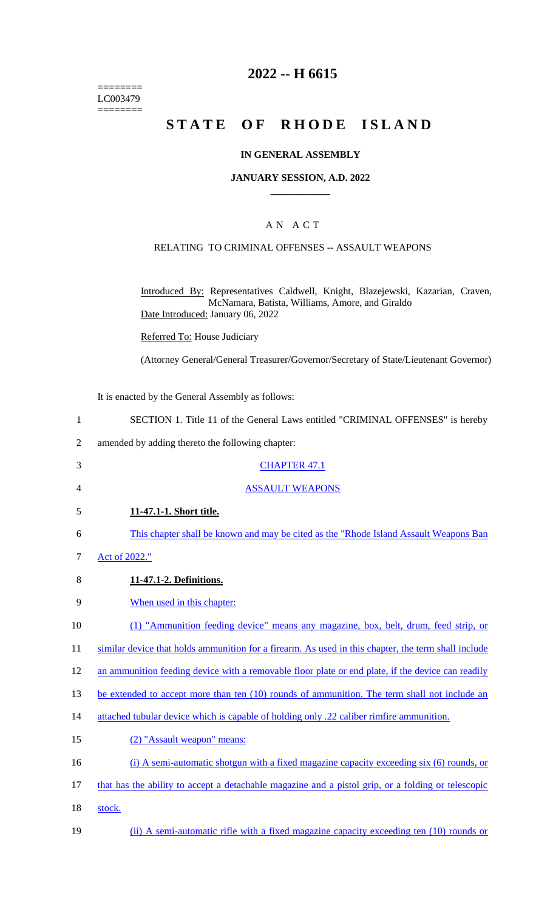======== LC003479 ========

## **2022 -- H 6615**

# **STATE OF RHODE ISLAND**

#### **IN GENERAL ASSEMBLY**

#### **JANUARY SESSION, A.D. 2022 \_\_\_\_\_\_\_\_\_\_\_\_**

### A N A C T

#### RELATING TO CRIMINAL OFFENSES -- ASSAULT WEAPONS

Introduced By: Representatives Caldwell, Knight, Blazejewski, Kazarian, Craven, McNamara, Batista, Williams, Amore, and Giraldo Date Introduced: January 06, 2022

Referred To: House Judiciary

(Attorney General/General Treasurer/Governor/Secretary of State/Lieutenant Governor)

It is enacted by the General Assembly as follows:

- 1 SECTION 1. Title 11 of the General Laws entitled "CRIMINAL OFFENSES" is hereby
- 2 amended by adding thereto the following chapter:
- 3 CHAPTER 47.1
- 4 ASSAULT WEAPONS
- 5 **11-47.1-1. Short title.**
- 6 This chapter shall be known and may be cited as the "Rhode Island Assault Weapons Ban
- 7 Act of 2022."
- 8 **11-47.1-2. Definitions.**
- 9 When used in this chapter:
- 10 (1) "Ammunition feeding device" means any magazine, box, belt, drum, feed strip, or
- 11 similar device that holds ammunition for a firearm. As used in this chapter, the term shall include
- 12 an ammunition feeding device with a removable floor plate or end plate, if the device can readily
- 13 be extended to accept more than ten (10) rounds of ammunition. The term shall not include an
- 14 attached tubular device which is capable of holding only .22 caliber rimfire ammunition.
- 15 (2) "Assault weapon" means:
- 16 (i) A semi-automatic shotgun with a fixed magazine capacity exceeding six (6) rounds, or
- 17 that has the ability to accept a detachable magazine and a pistol grip, or a folding or telescopic
- 18 stock.
- 19 (ii) A semi-automatic rifle with a fixed magazine capacity exceeding ten (10) rounds or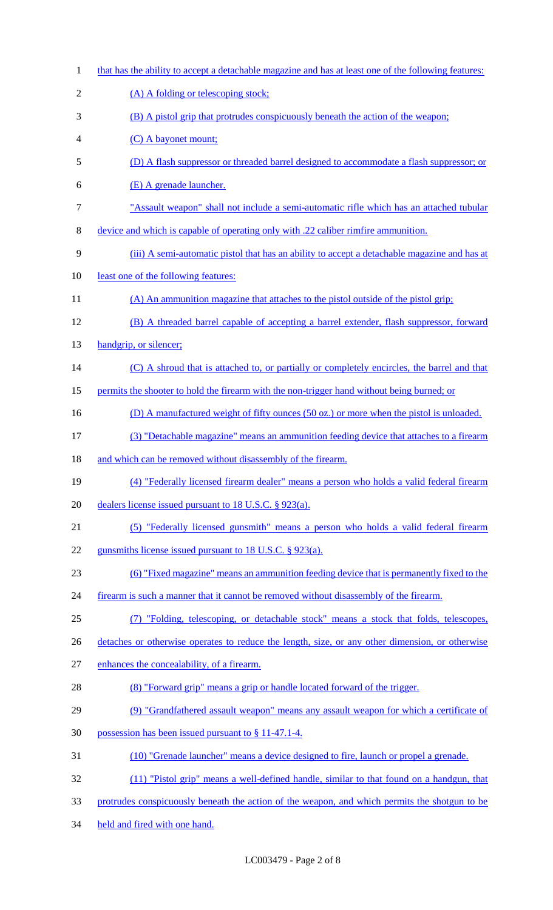that has the ability to accept a detachable magazine and has at least one of the following features: 2 (A) A folding or telescoping stock; (B) A pistol grip that protrudes conspicuously beneath the action of the weapon; (C) A bayonet mount; (D) A flash suppressor or threaded barrel designed to accommodate a flash suppressor; or (E) A grenade launcher. "Assault weapon" shall not include a semi-automatic rifle which has an attached tubular device and which is capable of operating only with .22 caliber rimfire ammunition. (iii) A semi-automatic pistol that has an ability to accept a detachable magazine and has at least one of the following features: 11 (A) An ammunition magazine that attaches to the pistol outside of the pistol grip; (B) A threaded barrel capable of accepting a barrel extender, flash suppressor, forward 13 handgrip, or silencer; 14 (C) A shroud that is attached to, or partially or completely encircles, the barrel and that 15 permits the shooter to hold the firearm with the non-trigger hand without being burned; or 16 (D) A manufactured weight of fifty ounces (50 oz.) or more when the pistol is unloaded. (3) "Detachable magazine" means an ammunition feeding device that attaches to a firearm 18 and which can be removed without disassembly of the firearm. (4) "Federally licensed firearm dealer" means a person who holds a valid federal firearm dealers license issued pursuant to 18 U.S.C. § 923(a). (5) "Federally licensed gunsmith" means a person who holds a valid federal firearm 22 gunsmiths license issued pursuant to 18 U.S.C. § 923(a). (6) "Fixed magazine" means an ammunition feeding device that is permanently fixed to the 24 firearm is such a manner that it cannot be removed without disassembly of the firearm. (7) "Folding, telescoping, or detachable stock" means a stock that folds, telescopes, 26 detaches or otherwise operates to reduce the length, size, or any other dimension, or otherwise enhances the concealability, of a firearm. (8) "Forward grip" means a grip or handle located forward of the trigger. (9) "Grandfathered assault weapon" means any assault weapon for which a certificate of possession has been issued pursuant to § 11-47.1-4. (10) "Grenade launcher" means a device designed to fire, launch or propel a grenade. (11) "Pistol grip" means a well-defined handle, similar to that found on a handgun, that protrudes conspicuously beneath the action of the weapon, and which permits the shotgun to be held and fired with one hand.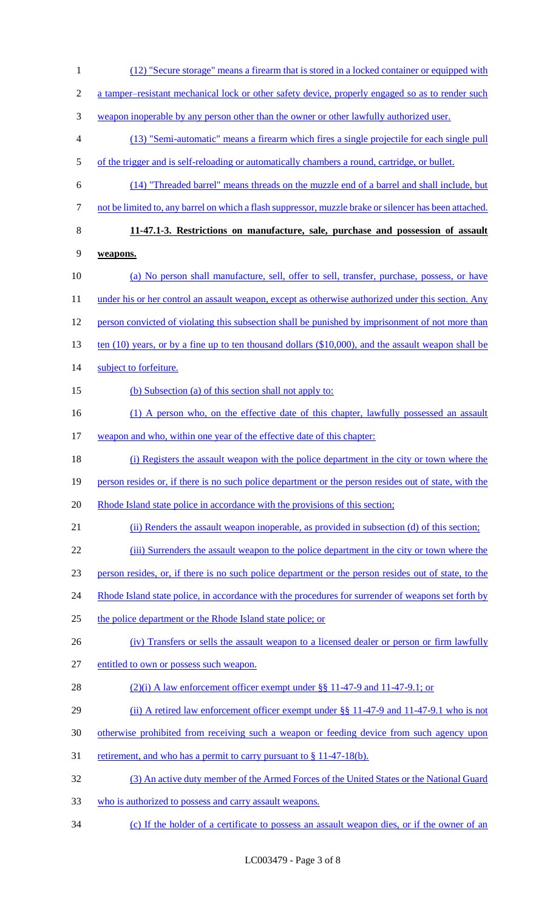1 (12) "Secure storage" means a firearm that is stored in a locked container or equipped with 2 a tamper–resistant mechanical lock or other safety device, properly engaged so as to render such 3 weapon inoperable by any person other than the owner or other lawfully authorized user. 4 (13) "Semi-automatic" means a firearm which fires a single projectile for each single pull 5 of the trigger and is self-reloading or automatically chambers a round, cartridge, or bullet. 6 (14) "Threaded barrel" means threads on the muzzle end of a barrel and shall include, but 7 not be limited to, any barrel on which a flash suppressor, muzzle brake or silencer has been attached. 8 **11-47.1-3. Restrictions on manufacture, sale, purchase and possession of assault**  9 **weapons.**  10 (a) No person shall manufacture, sell, offer to sell, transfer, purchase, possess, or have 11 under his or her control an assault weapon, except as otherwise authorized under this section. Any 12 person convicted of violating this subsection shall be punished by imprisonment of not more than 13 ten (10) years, or by a fine up to ten thousand dollars (\$10,000), and the assault weapon shall be 14 subject to forfeiture. 15 (b) Subsection (a) of this section shall not apply to: 16 (1) A person who, on the effective date of this chapter, lawfully possessed an assault 17 weapon and who, within one year of the effective date of this chapter: 18 (i) Registers the assault weapon with the police department in the city or town where the 19 person resides or, if there is no such police department or the person resides out of state, with the 20 Rhode Island state police in accordance with the provisions of this section; 21 (ii) Renders the assault weapon inoperable, as provided in subsection (d) of this section; 22 (iii) Surrenders the assault weapon to the police department in the city or town where the 23 person resides, or, if there is no such police department or the person resides out of state, to the 24 Rhode Island state police, in accordance with the procedures for surrender of weapons set forth by 25 the police department or the Rhode Island state police; or 26 (iv) Transfers or sells the assault weapon to a licensed dealer or person or firm lawfully 27 entitled to own or possess such weapon. 28 (2)(i) A law enforcement officer exempt under §§ 11-47-9 and 11-47-9.1; or 29 (ii) A retired law enforcement officer exempt under §§ 11-47-9 and 11-47-9.1 who is not 30 otherwise prohibited from receiving such a weapon or feeding device from such agency upon 31 retirement, and who has a permit to carry pursuant to  $\S 11-47-18(b)$ . 32 (3) An active duty member of the Armed Forces of the United States or the National Guard 33 who is authorized to possess and carry assault weapons. 34 (c) If the holder of a certificate to possess an assault weapon dies, or if the owner of an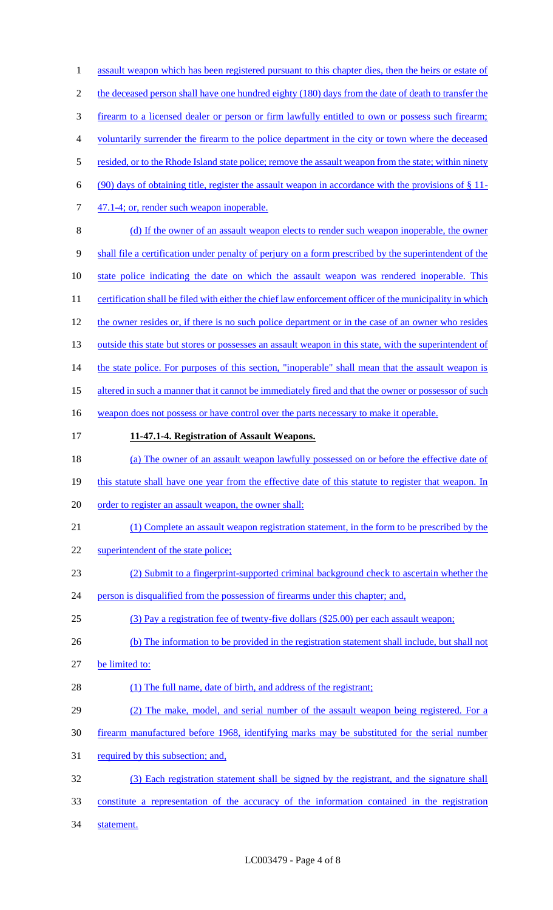1 assault weapon which has been registered pursuant to this chapter dies, then the heirs or estate of 2 the deceased person shall have one hundred eighty (180) days from the date of death to transfer the 3 firearm to a licensed dealer or person or firm lawfully entitled to own or possess such firearm; 4 voluntarily surrender the firearm to the police department in the city or town where the deceased 5 resided, or to the Rhode Island state police; remove the assault weapon from the state; within ninety 6 (90) days of obtaining title, register the assault weapon in accordance with the provisions of  $\S 11$ -7 47.1-4; or, render such weapon inoperable. 8 (d) If the owner of an assault weapon elects to render such weapon inoperable, the owner 9 shall file a certification under penalty of perjury on a form prescribed by the superintendent of the 10 state police indicating the date on which the assault weapon was rendered inoperable. This 11 certification shall be filed with either the chief law enforcement officer of the municipality in which 12 the owner resides or, if there is no such police department or in the case of an owner who resides 13 outside this state but stores or possesses an assault weapon in this state, with the superintendent of 14 the state police. For purposes of this section, "inoperable" shall mean that the assault weapon is 15 altered in such a manner that it cannot be immediately fired and that the owner or possessor of such 16 weapon does not possess or have control over the parts necessary to make it operable. 17 **11-47.1-4. Registration of Assault Weapons.**  18 (a) The owner of an assault weapon lawfully possessed on or before the effective date of 19 this statute shall have one year from the effective date of this statute to register that weapon. In 20 order to register an assault weapon, the owner shall: 21 (1) Complete an assault weapon registration statement, in the form to be prescribed by the 22 superintendent of the state police; 23 (2) Submit to a fingerprint-supported criminal background check to ascertain whether the 24 person is disqualified from the possession of firearms under this chapter; and, 25 (3) Pay a registration fee of twenty-five dollars (\$25.00) per each assault weapon; 26 (b) The information to be provided in the registration statement shall include, but shall not 27 be limited to: 28 (1) The full name, date of birth, and address of the registrant; 29 (2) The make, model, and serial number of the assault weapon being registered. For a 30 firearm manufactured before 1968, identifying marks may be substituted for the serial number 31 required by this subsection; and, 32 (3) Each registration statement shall be signed by the registrant, and the signature shall 33 constitute a representation of the accuracy of the information contained in the registration 34 statement.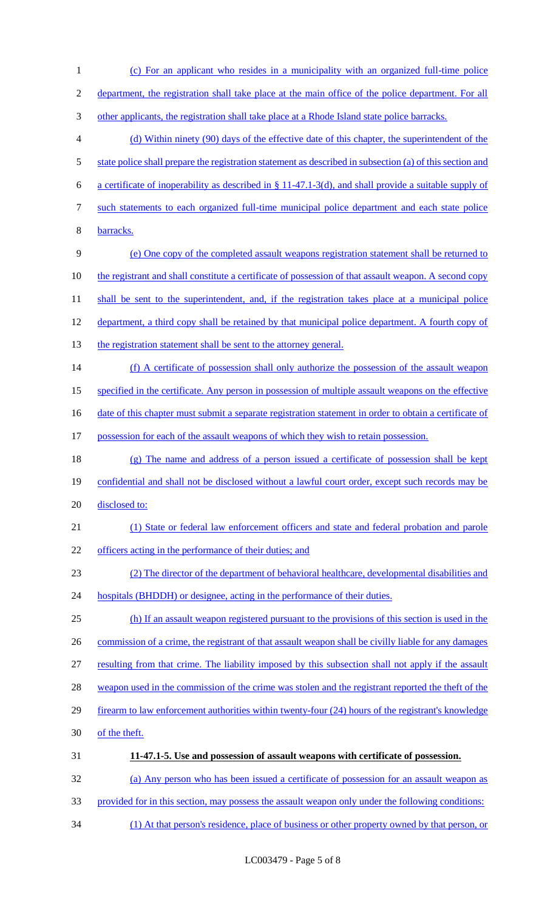(c) For an applicant who resides in a municipality with an organized full-time police department, the registration shall take place at the main office of the police department. For all 3 other applicants, the registration shall take place at a Rhode Island state police barracks. (d) Within ninety (90) days of the effective date of this chapter, the superintendent of the 5 state police shall prepare the registration statement as described in subsection (a) of this section and a certificate of inoperability as described in § 11-47.1-3(d), and shall provide a suitable supply of such statements to each organized full-time municipal police department and each state police barracks. (e) One copy of the completed assault weapons registration statement shall be returned to 10 the registrant and shall constitute a certificate of possession of that assault weapon. A second copy 11 shall be sent to the superintendent, and, if the registration takes place at a municipal police department, a third copy shall be retained by that municipal police department. A fourth copy of 13 the registration statement shall be sent to the attorney general. (f) A certificate of possession shall only authorize the possession of the assault weapon specified in the certificate. Any person in possession of multiple assault weapons on the effective 16 date of this chapter must submit a separate registration statement in order to obtain a certificate of possession for each of the assault weapons of which they wish to retain possession. (g) The name and address of a person issued a certificate of possession shall be kept 19 confidential and shall not be disclosed without a lawful court order, except such records may be 20 disclosed to: (1) State or federal law enforcement officers and state and federal probation and parole 22 officers acting in the performance of their duties; and (2) The director of the department of behavioral healthcare, developmental disabilities and 24 hospitals (BHDDH) or designee, acting in the performance of their duties. (h) If an assault weapon registered pursuant to the provisions of this section is used in the 26 commission of a crime, the registrant of that assault weapon shall be civilly liable for any damages resulting from that crime. The liability imposed by this subsection shall not apply if the assault 28 weapon used in the commission of the crime was stolen and the registrant reported the theft of the firearm to law enforcement authorities within twenty-four (24) hours of the registrant's knowledge of the theft. **11-47.1-5. Use and possession of assault weapons with certificate of possession.**  (a) Any person who has been issued a certificate of possession for an assault weapon as provided for in this section, may possess the assault weapon only under the following conditions:

(1) At that person's residence, place of business or other property owned by that person, or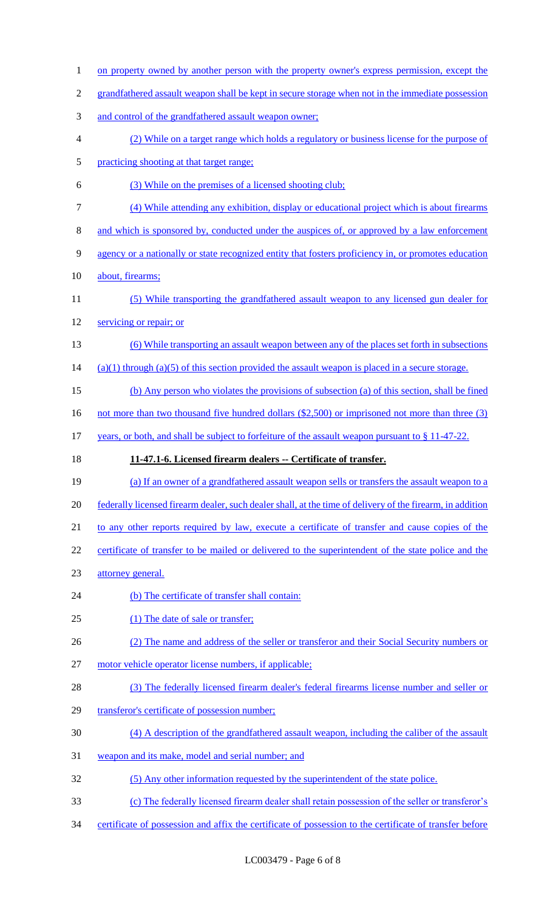1 on property owned by another person with the property owner's express permission, except the grandfathered assault weapon shall be kept in secure storage when not in the immediate possession and control of the grandfathered assault weapon owner; (2) While on a target range which holds a regulatory or business license for the purpose of practicing shooting at that target range; (3) While on the premises of a licensed shooting club; (4) While attending any exhibition, display or educational project which is about firearms and which is sponsored by, conducted under the auspices of, or approved by a law enforcement agency or a nationally or state recognized entity that fosters proficiency in, or promotes education about, firearms; (5) While transporting the grandfathered assault weapon to any licensed gun dealer for 12 servicing or repair; or (6) While transporting an assault weapon between any of the places set forth in subsections (a)(1) through (a)(5) of this section provided the assault weapon is placed in a secure storage. (b) Any person who violates the provisions of subsection (a) of this section, shall be fined 16 not more than two thousand five hundred dollars (\$2,500) or imprisoned not more than three (3) 17 years, or both, and shall be subject to forfeiture of the assault weapon pursuant to § 11-47-22. **11-47.1-6. Licensed firearm dealers -- Certificate of transfer.**  (a) If an owner of a grandfathered assault weapon sells or transfers the assault weapon to a federally licensed firearm dealer, such dealer shall, at the time of delivery of the firearm, in addition 21 to any other reports required by law, execute a certificate of transfer and cause copies of the 22 certificate of transfer to be mailed or delivered to the superintendent of the state police and the attorney general. 24 (b) The certificate of transfer shall contain: 25 (1) The date of sale or transfer; (2) The name and address of the seller or transferor and their Social Security numbers or motor vehicle operator license numbers, if applicable; (3) The federally licensed firearm dealer's federal firearms license number and seller or 29 transferor's certificate of possession number; (4) A description of the grandfathered assault weapon, including the caliber of the assault weapon and its make, model and serial number; and (5) Any other information requested by the superintendent of the state police. (c) The federally licensed firearm dealer shall retain possession of the seller or transferor's certificate of possession and affix the certificate of possession to the certificate of transfer before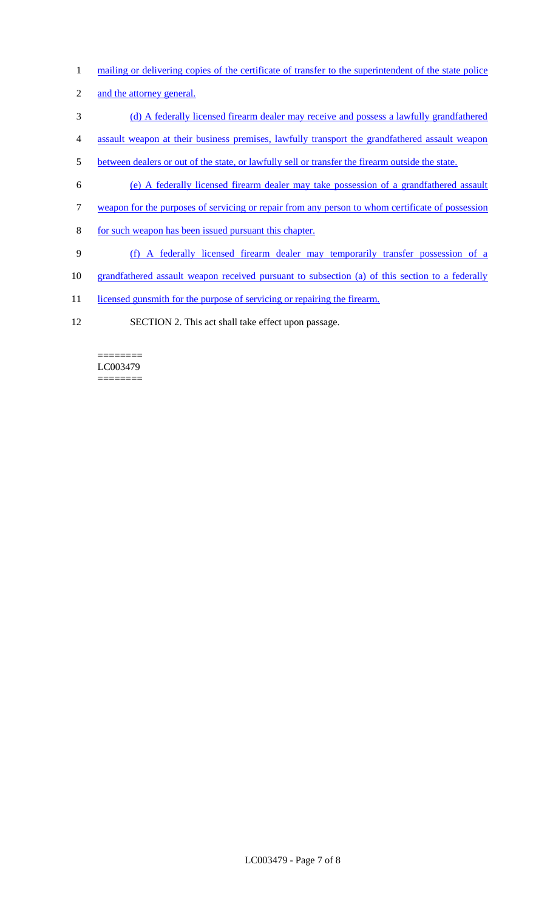- 1 mailing or delivering copies of the certificate of transfer to the superintendent of the state police
- 2 and the attorney general.
- 3 (d) A federally licensed firearm dealer may receive and possess a lawfully grandfathered
- 4 assault weapon at their business premises, lawfully transport the grandfathered assault weapon
- 5 between dealers or out of the state, or lawfully sell or transfer the firearm outside the state.
- 6 (e) A federally licensed firearm dealer may take possession of a grandfathered assault
- 7 weapon for the purposes of servicing or repair from any person to whom certificate of possession
- 8 for such weapon has been issued pursuant this chapter.
- 9 (f) A federally licensed firearm dealer may temporarily transfer possession of a
- 10 grandfathered assault weapon received pursuant to subsection (a) of this section to a federally
- 11 licensed gunsmith for the purpose of servicing or repairing the firearm.
- 12 SECTION 2. This act shall take effect upon passage.

======== LC003479 ========